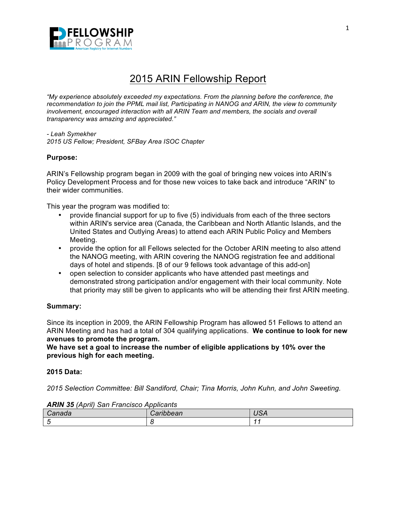

# 2015 ARIN Fellowship Report

*"My experience absolutely exceeded my expectations. From the planning before the conference, the recommendation to join the PPML mail list, Participating in NANOG and ARIN, the view to community involvement, encouraged interaction with all ARIN Team and members, the socials and overall transparency was amazing and appreciated."*

*- Leah Symekher 2015 US Fellow; President, SFBay Area ISOC Chapter*

# **Purpose:**

ARIN's Fellowship program began in 2009 with the goal of bringing new voices into ARIN's Policy Development Process and for those new voices to take back and introduce "ARIN" to their wider communities.

This year the program was modified to:

- provide financial support for up to five (5) individuals from each of the three sectors within ARIN's service area (Canada, the Caribbean and North Atlantic Islands, and the United States and Outlying Areas) to attend each ARIN Public Policy and Members Meeting.
- provide the option for all Fellows selected for the October ARIN meeting to also attend the NANOG meeting, with ARIN covering the NANOG registration fee and additional days of hotel and stipends. [8 of our 9 fellows took advantage of this add-on]
- open selection to consider applicants who have attended past meetings and demonstrated strong participation and/or engagement with their local community. Note that priority may still be given to applicants who will be attending their first ARIN meeting.

## **Summary:**

Since its inception in 2009, the ARIN Fellowship Program has allowed 51 Fellows to attend an ARIN Meeting and has had a total of 304 qualifying applications. **We continue to look for new avenues to promote the program.**

**We have set a goal to increase the number of eligible applications by 10% over the previous high for each meeting.**

## **2015 Data:**

*2015 Selection Committee: Bill Sandiford, Chair; Tina Morris, John Kuhn, and John Sweeting.*

| . | $\overline{\phantom{a}}$ |
|---|--------------------------|
|   |                          |

#### *ARIN 35 (April) San Francisco Applicants*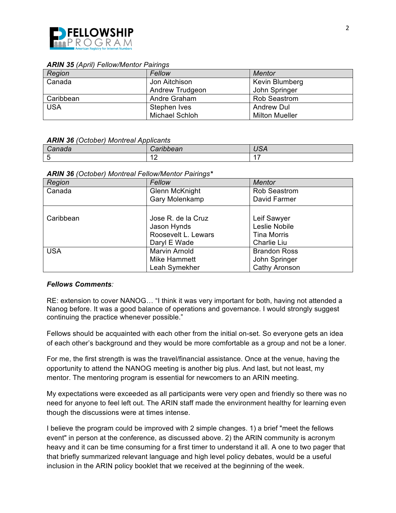

#### *ARIN 35 (April) Fellow/Mentor Pairings*

| Region     | Fellow                | Mentor                |
|------------|-----------------------|-----------------------|
| Canada     | Jon Aitchison         | Kevin Blumberg        |
|            | Andrew Trudgeon       | John Springer         |
| Caribbean  | Andre Graham          | <b>Rob Seastrom</b>   |
| <b>USA</b> | Stephen Ives          | <b>Andrew Dul</b>     |
|            | <b>Michael Schloh</b> | <b>Milton Mueller</b> |

#### *ARIN 36 (October) Montreal Applicants*

| . . | .<br>$\ddotsc$             | ---<br>אטי |
|-----|----------------------------|------------|
|     | $\epsilon$<br>-4<br>$\sim$ | $\sim$     |

#### *ARIN 36 (October) Montreal Fellow/Mentor Pairings\**

| Region     | Fellow                                                                   | Mentor                                                            |
|------------|--------------------------------------------------------------------------|-------------------------------------------------------------------|
| Canada     | <b>Glenn McKnight</b><br><b>Gary Molenkamp</b>                           | <b>Rob Seastrom</b><br>David Farmer                               |
|            |                                                                          |                                                                   |
| Caribbean  | Jose R. de la Cruz<br>Jason Hynds<br>Roosevelt L. Lewars<br>Daryl E Wade | Leif Sawyer<br>Leslie Nobile<br><b>Tina Morris</b><br>Charlie Liu |
| <b>USA</b> | <b>Marvin Arnold</b><br>Mike Hammett<br>Leah Symekher                    | <b>Brandon Ross</b><br>John Springer<br>Cathy Aronson             |

## *Fellows Comments:*

RE: extension to cover NANOG… "I think it was very important for both, having not attended a Nanog before. It was a good balance of operations and governance. I would strongly suggest continuing the practice whenever possible."

Fellows should be acquainted with each other from the initial on-set. So everyone gets an idea of each other's background and they would be more comfortable as a group and not be a loner.

For me, the first strength is was the travel/financial assistance. Once at the venue, having the opportunity to attend the NANOG meeting is another big plus. And last, but not least, my mentor. The mentoring program is essential for newcomers to an ARIN meeting.

My expectations were exceeded as all participants were very open and friendly so there was no need for anyone to feel left out. The ARIN staff made the environment healthy for learning even though the discussions were at times intense.

I believe the program could be improved with 2 simple changes. 1) a brief "meet the fellows event" in person at the conference, as discussed above. 2) the ARIN community is acronym heavy and it can be time consuming for a first timer to understand it all. A one to two pager that that briefly summarized relevant language and high level policy debates, would be a useful inclusion in the ARIN policy booklet that we received at the beginning of the week.